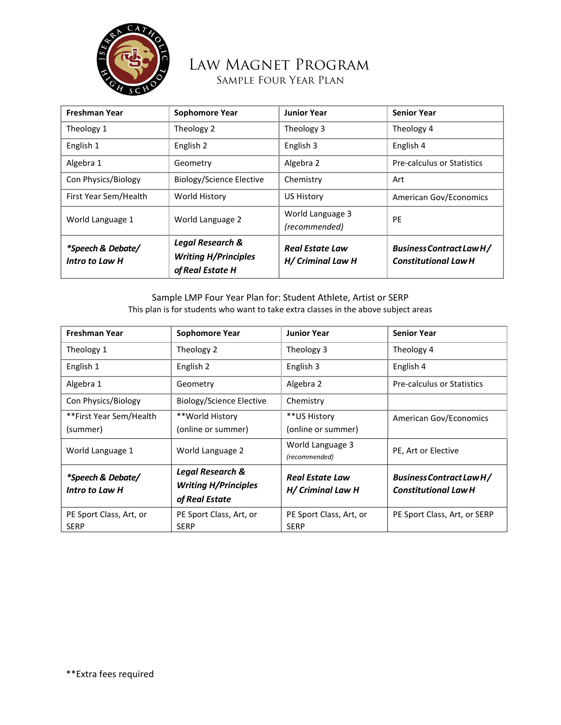

## Law Magnet Program Sample Four Year Plan

| <b>Freshman Year</b>                | <b>Sophomore Year</b>                                                          | <b>Junior Year</b>                          | <b>Senior Year</b>                                      |
|-------------------------------------|--------------------------------------------------------------------------------|---------------------------------------------|---------------------------------------------------------|
| Theology 1                          | Theology 2                                                                     | Theology 3                                  | Theology 4                                              |
| English 1                           | English 2                                                                      | English 3                                   | English 4                                               |
| Algebra 1                           | Geometry                                                                       | Algebra 2                                   | <b>Pre-calculus or Statistics</b>                       |
| Con Physics/Biology                 | <b>Biology/Science Elective</b>                                                | Chemistry                                   | Art                                                     |
| First Year Sem/Health               | World History                                                                  | <b>US History</b>                           | American Gov/Economics                                  |
| World Language 1                    | World Language 2                                                               | World Language 3<br>(recommended)           | PE                                                      |
| *Speech & Debate/<br>Intro to Law H | <b>Legal Research &amp;</b><br><b>Writing H/Principles</b><br>of Real Estate H | <b>Real Estate Law</b><br>H/ Criminal Law H | Business Contract Law H/<br><b>Constitutional Law H</b> |

Sample LMP Four Year Plan for: Student Athlete, Artist or SERP This plan is for students who want to take extra classes in the above subject areas

| <b>Freshman Year</b>                | Sophomore Year              | <b>Junior Year</b>                | <b>Senior Year</b>                                      |
|-------------------------------------|-----------------------------|-----------------------------------|---------------------------------------------------------|
| Theology 1                          | Theology 2                  | Theology 3                        | Theology 4                                              |
| English 1                           | English 2                   | English 3                         | English 4                                               |
| Algebra 1                           | Geometry                    | Algebra 2                         | <b>Pre-calculus or Statistics</b>                       |
| Con Physics/Biology                 | Biology/Science Elective    | Chemistry                         |                                                         |
| **First Year Sem/Health             | **World History             | **US History                      | American Gov/Economics                                  |
| (summer)                            | (online or summer)          | (online or summer)                |                                                         |
| World Language 1                    | World Language 2            | World Language 3<br>(recommended) | PE, Art or Elective                                     |
| *Speech & Debate/<br>Intro to Law H | <b>Legal Research &amp;</b> | <b>Real Estate Law</b>            | Business Contract Law H/<br><b>Constitutional Law H</b> |
|                                     | <b>Writing H/Principles</b> | H/ Criminal Law H                 |                                                         |
|                                     | of Real Estate              |                                   |                                                         |
| PE Sport Class, Art, or             | PE Sport Class, Art, or     | PE Sport Class, Art, or           | PE Sport Class, Art, or SERP                            |
| <b>SERP</b>                         | <b>SERP</b>                 | <b>SERP</b>                       |                                                         |